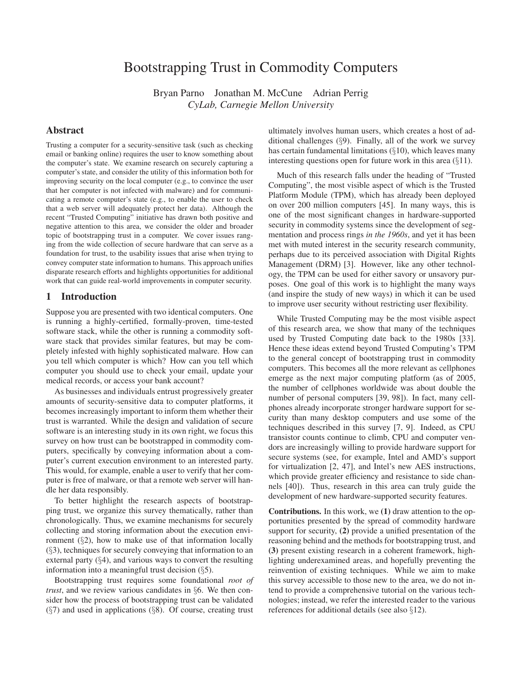# Bootstrapping Trust in Commodity Computers

Bryan Parno Jonathan M. McCune Adrian Perrig *CyLab, Carnegie Mellon University*

## **Abstract**

Trusting a computer for a security-sensitive task (such as checking email or banking online) requires the user to know something about the computer's state. We examine research on securely capturing a computer's state, and consider the utility of this information both for improving security on the local computer (e.g., to convince the user that her computer is not infected with malware) and for communicating a remote computer's state (e.g., to enable the user to check that a web server will adequately protect her data). Although the recent "Trusted Computing" initiative has drawn both positive and negative attention to this area, we consider the older and broader topic of bootstrapping trust in a computer. We cover issues ranging from the wide collection of secure hardware that can serve as a foundation for trust, to the usability issues that arise when trying to convey computer state information to humans. This approach unifies disparate research efforts and highlights opportunities for additional work that can guide real-world improvements in computer security.

## **1 Introduction**

Suppose you are presented with two identical computers. One is running a highly-certified, formally-proven, time-tested software stack, while the other is running a commodity software stack that provides similar features, but may be completely infested with highly sophisticated malware. How can you tell which computer is which? How can you tell which computer you should use to check your email, update your medical records, or access your bank account?

As businesses and individuals entrust progressively greater amounts of security-sensitive data to computer platforms, it becomes increasingly important to inform them whether their trust is warranted. While the design and validation of secure software is an interesting study in its own right, we focus this survey on how trust can be bootstrapped in commodity computers, specifically by conveying information about a computer's current execution environment to an interested party. This would, for example, enable a user to verify that her computer is free of malware, or that a remote web server will handle her data responsibly.

To better highlight the research aspects of bootstrapping trust, we organize this survey thematically, rather than chronologically. Thus, we examine mechanisms for securely collecting and storing information about the execution environment  $(\S2)$ , how to make use of that information locally (§3), techniques for securely conveying that information to an external party (§4), and various ways to convert the resulting information into a meaningful trust decision (§5).

Bootstrapping trust requires some foundational *root of trust*, and we review various candidates in §6. We then consider how the process of bootstrapping trust can be validated  $(\S7)$  and used in applications  $(\S8)$ . Of course, creating trust

ultimately involves human users, which creates a host of additional challenges (§9). Finally, all of the work we survey has certain fundamental limitations  $(\S10)$ , which leaves many interesting questions open for future work in this area  $(\S11)$ .

Much of this research falls under the heading of "Trusted Computing", the most visible aspect of which is the Trusted Platform Module (TPM), which has already been deployed on over 200 million computers [45]. In many ways, this is one of the most significant changes in hardware-supported security in commodity systems since the development of segmentation and process rings *in the 1960s*, and yet it has been met with muted interest in the security research community, perhaps due to its perceived association with Digital Rights Management (DRM) [3]. However, like any other technology, the TPM can be used for either savory or unsavory purposes. One goal of this work is to highlight the many ways (and inspire the study of new ways) in which it can be used to improve user security without restricting user flexibility.

While Trusted Computing may be the most visible aspect of this research area, we show that many of the techniques used by Trusted Computing date back to the 1980s [33]. Hence these ideas extend beyond Trusted Computing's TPM to the general concept of bootstrapping trust in commodity computers. This becomes all the more relevant as cellphones emerge as the next major computing platform (as of 2005, the number of cellphones worldwide was about double the number of personal computers [39, 98]). In fact, many cellphones already incorporate stronger hardware support for security than many desktop computers and use some of the techniques described in this survey [7, 9]. Indeed, as CPU transistor counts continue to climb, CPU and computer vendors are increasingly willing to provide hardware support for secure systems (see, for example, Intel and AMD's support for virtualization [2, 47], and Intel's new AES instructions, which provide greater efficiency and resistance to side channels [40]). Thus, research in this area can truly guide the development of new hardware-supported security features.

**Contributions.** In this work, we **(1)** draw attention to the opportunities presented by the spread of commodity hardware support for security, **(2)** provide a unified presentation of the reasoning behind and the methods for bootstrapping trust, and **(3)** present existing research in a coherent framework, highlighting underexamined areas, and hopefully preventing the reinvention of existing techniques. While we aim to make this survey accessible to those new to the area, we do not intend to provide a comprehensive tutorial on the various technologies; instead, we refer the interested reader to the various references for additional details (see also §12).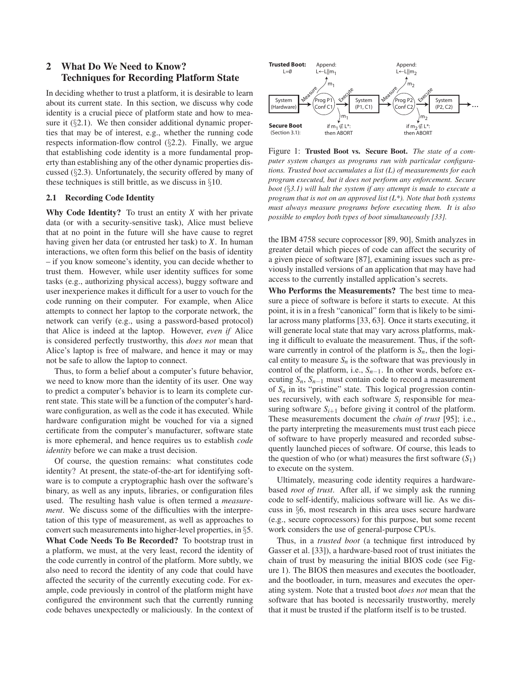## **2 What Do We Need to Know? Techniques for Recording Platform State**

In deciding whether to trust a platform, it is desirable to learn about its current state. In this section, we discuss why code identity is a crucial piece of platform state and how to measure it  $(\S 2.1)$ . We then consider additional dynamic properties that may be of interest, e.g., whether the running code respects information-flow control (§2.2). Finally, we argue that establishing code identity is a more fundamental property than establishing any of the other dynamic properties discussed (§2.3). Unfortunately, the security offered by many of these techniques is still brittle, as we discuss in  $\S 10$ .

### **2.1 Recording Code Identity**

**Why Code Identity?** To trust an entity *X* with her private data (or with a security-sensitive task), Alice must believe that at no point in the future will she have cause to regret having given her data (or entrusted her task) to *X*. In human interactions, we often form this belief on the basis of identity – if you know someone's identity, you can decide whether to trust them. However, while user identity suffices for some tasks (e.g., authorizing physical access), buggy software and user inexperience makes it difficult for a user to vouch for the code running on their computer. For example, when Alice attempts to connect her laptop to the corporate network, the network can verify (e.g., using a password-based protocol) that Alice is indeed at the laptop. However, *even if* Alice is considered perfectly trustworthy, this *does not* mean that Alice's laptop is free of malware, and hence it may or may not be safe to allow the laptop to connect.

Thus, to form a belief about a computer's future behavior, we need to know more than the identity of its user. One way to predict a computer's behavior is to learn its complete current state. This state will be a function of the computer's hardware configuration, as well as the code it has executed. While hardware configuration might be vouched for via a signed certificate from the computer's manufacturer, software state is more ephemeral, and hence requires us to establish *code identity* before we can make a trust decision.

Of course, the question remains: what constitutes code identity? At present, the state-of-the-art for identifying software is to compute a cryptographic hash over the software's binary, as well as any inputs, libraries, or configuration files used. The resulting hash value is often termed a *measurement*. We discuss some of the difficulties with the interpretation of this type of measurement, as well as approaches to convert such measurements into higher-level properties, in §5. **What Code Needs To Be Recorded?** To bootstrap trust in a platform, we must, at the very least, record the identity of the code currently in control of the platform. More subtly, we also need to record the identity of any code that could have affected the security of the currently executing code. For example, code previously in control of the platform might have configured the environment such that the currently running code behaves unexpectedly or maliciously. In the context of



Figure 1: **Trusted Boot vs. Secure Boot.** *The state of a computer system changes as programs run with particular configurations. Trusted boot accumulates a list (L) of measurements for each program executed, but it does not perform any enforcement. Secure boot (*§*3.1) will halt the system if any attempt is made to execute a program that is not on an approved list (L\*). Note that both systems must always measure programs before executing them. It is also possible to employ both types of boot simultaneously [33].*

the IBM 4758 secure coprocessor [89, 90], Smith analyzes in greater detail which pieces of code can affect the security of a given piece of software [87], examining issues such as previously installed versions of an application that may have had access to the currently installed application's secrets.

**Who Performs the Measurements?** The best time to measure a piece of software is before it starts to execute. At this point, it is in a fresh "canonical" form that is likely to be similar across many platforms [33, 63]. Once it starts executing, it will generate local state that may vary across platforms, making it difficult to evaluate the measurement. Thus, if the software currently in control of the platform is  $S_n$ , then the logical entity to measure  $S_n$  is the software that was previously in control of the platform, i.e., *Sn*−1. In other words, before executing  $S_n$ ,  $S_{n-1}$  must contain code to record a measurement of  $S_n$  in its "pristine" state. This logical progression continues recursively, with each software *S<sup>i</sup>* responsible for measuring software  $S_{i+1}$  before giving it control of the platform. These measurements document the *chain of trust* [95]; i.e., the party interpreting the measurements must trust each piece of software to have properly measured and recorded subsequently launched pieces of software. Of course, this leads to the question of who (or what) measures the first software  $(S_1)$ to execute on the system.

Ultimately, measuring code identity requires a hardwarebased *root of trust*. After all, if we simply ask the running code to self-identify, malicious software will lie. As we discuss in §6, most research in this area uses secure hardware (e.g., secure coprocessors) for this purpose, but some recent work considers the use of general-purpose CPUs.

Thus, in a *trusted boot* (a technique first introduced by Gasser et al. [33]), a hardware-based root of trust initiates the chain of trust by measuring the initial BIOS code (see Figure 1). The BIOS then measures and executes the bootloader, and the bootloader, in turn, measures and executes the operating system. Note that a trusted boot *does not* mean that the software that has booted is necessarily trustworthy, merely that it must be trusted if the platform itself is to be trusted.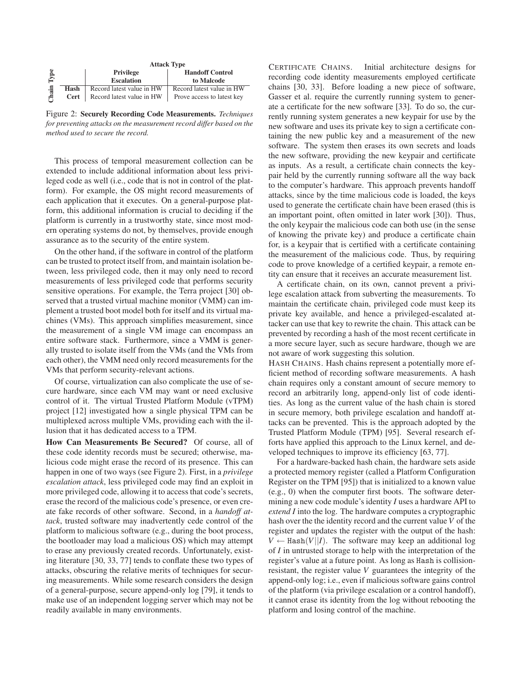|      |      | <b>Attack Type</b>        |                            |
|------|------|---------------------------|----------------------------|
|      |      | Privilege                 | <b>Handoff Control</b>     |
|      |      | <b>Escalation</b>         | to Malcode                 |
| hain | Hash | Record latest value in HW | Record latest value in HW  |
|      | Cert | Record latest value in HW | Prove access to latest key |

Figure 2: **Securely Recording Code Measurements.** *Techniques for preventing attacks on the measurement record differ based on the method used to secure the record.*

This process of temporal measurement collection can be extended to include additional information about less privileged code as well (i.e., code that is not in control of the platform). For example, the OS might record measurements of each application that it executes. On a general-purpose platform, this additional information is crucial to deciding if the platform is currently in a trustworthy state, since most modern operating systems do not, by themselves, provide enough assurance as to the security of the entire system.

On the other hand, if the software in control of the platform can be trusted to protect itself from, and maintain isolation between, less privileged code, then it may only need to record measurements of less privileged code that performs security sensitive operations. For example, the Terra project [30] observed that a trusted virtual machine monitor (VMM) can implement a trusted boot model both for itself and its virtual machines (VMs). This approach simplifies measurement, since the measurement of a single VM image can encompass an entire software stack. Furthermore, since a VMM is generally trusted to isolate itself from the VMs (and the VMs from each other), the VMM need only record measurements for the VMs that perform security-relevant actions.

Of course, virtualization can also complicate the use of secure hardware, since each VM may want or need exclusive control of it. The virtual Trusted Platform Module (vTPM) project [12] investigated how a single physical TPM can be multiplexed across multiple VMs, providing each with the illusion that it has dedicated access to a TPM.

**How Can Measurements Be Secured?** Of course, all of these code identity records must be secured; otherwise, malicious code might erase the record of its presence. This can happen in one of two ways (see Figure 2). First, in a *privilege escalation attack*, less privileged code may find an exploit in more privileged code, allowing it to access that code's secrets, erase the record of the malicious code's presence, or even create fake records of other software. Second, in a *handoff attack*, trusted software may inadvertently cede control of the platform to malicious software (e.g., during the boot process, the bootloader may load a malicious OS) which may attempt to erase any previously created records. Unfortunately, existing literature [30, 33, 77] tends to conflate these two types of attacks, obscuring the relative merits of techniques for securing measurements. While some research considers the design of a general-purpose, secure append-only log [79], it tends to make use of an independent logging server which may not be readily available in many environments.

CERTIFICATE CHAINS. Initial architecture designs for recording code identity measurements employed certificate chains [30, 33]. Before loading a new piece of software, Gasser et al. require the currently running system to generate a certificate for the new software [33]. To do so, the currently running system generates a new keypair for use by the new software and uses its private key to sign a certificate containing the new public key and a measurement of the new software. The system then erases its own secrets and loads the new software, providing the new keypair and certificate as inputs. As a result, a certificate chain connects the keypair held by the currently running software all the way back to the computer's hardware. This approach prevents handoff attacks, since by the time malicious code is loaded, the keys used to generate the certificate chain have been erased (this is an important point, often omitted in later work [30]). Thus, the only keypair the malicious code can both use (in the sense of knowing the private key) and produce a certificate chain for, is a keypair that is certified with a certificate containing the measurement of the malicious code. Thus, by requiring code to prove knowledge of a certified keypair, a remote entity can ensure that it receives an accurate measurement list.

A certificate chain, on its own, cannot prevent a privilege escalation attack from subverting the measurements. To maintain the certificate chain, privileged code must keep its private key available, and hence a privileged-escalated attacker can use that key to rewrite the chain. This attack can be prevented by recording a hash of the most recent certificate in a more secure layer, such as secure hardware, though we are not aware of work suggesting this solution.

HASH CHAINS. Hash chains represent a potentially more efficient method of recording software measurements. A hash chain requires only a constant amount of secure memory to record an arbitrarily long, append-only list of code identities. As long as the current value of the hash chain is stored in secure memory, both privilege escalation and handoff attacks can be prevented. This is the approach adopted by the Trusted Platform Module (TPM) [95]. Several research efforts have applied this approach to the Linux kernel, and developed techniques to improve its efficiency [63, 77].

For a hardware-backed hash chain, the hardware sets aside a protected memory register (called a Platform Configuration Register on the TPM [95]) that is initialized to a known value (e.g., 0) when the computer first boots. The software determining a new code module's identity *I* uses a hardware API to *extend I* into the log. The hardware computes a cryptographic hash over the the identity record and the current value*V* of the register and updates the register with the output of the hash:  $V \leftarrow$  Hash(*V*||*I*). The software may keep an additional log of *I* in untrusted storage to help with the interpretation of the register's value at a future point. As long as Hash is collisionresistant, the register value *V* guarantees the integrity of the append-only log; i.e., even if malicious software gains control of the platform (via privilege escalation or a control handoff), it cannot erase its identity from the log without rebooting the platform and losing control of the machine.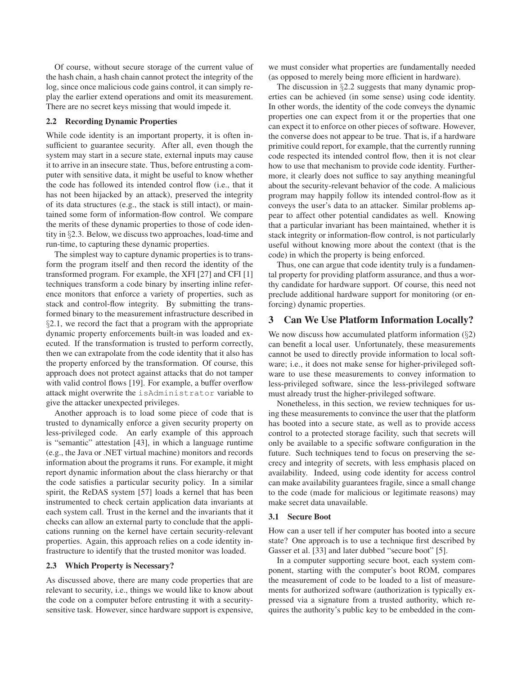Of course, without secure storage of the current value of the hash chain, a hash chain cannot protect the integrity of the log, since once malicious code gains control, it can simply replay the earlier extend operations and omit its measurement. There are no secret keys missing that would impede it.

#### **2.2 Recording Dynamic Properties**

While code identity is an important property, it is often insufficient to guarantee security. After all, even though the system may start in a secure state, external inputs may cause it to arrive in an insecure state. Thus, before entrusting a computer with sensitive data, it might be useful to know whether the code has followed its intended control flow (i.e., that it has not been hijacked by an attack), preserved the integrity of its data structures (e.g., the stack is still intact), or maintained some form of information-flow control. We compare the merits of these dynamic properties to those of code identity in §2.3. Below, we discuss two approaches, load-time and run-time, to capturing these dynamic properties.

The simplest way to capture dynamic properties is to transform the program itself and then record the identity of the transformed program. For example, the XFI [27] and CFI [1] techniques transform a code binary by inserting inline reference monitors that enforce a variety of properties, such as stack and control-flow integrity. By submitting the transformed binary to the measurement infrastructure described in §2.1, we record the fact that a program with the appropriate dynamic property enforcements built-in was loaded and executed. If the transformation is trusted to perform correctly, then we can extrapolate from the code identity that it also has the property enforced by the transformation. Of course, this approach does not protect against attacks that do not tamper with valid control flows [19]. For example, a buffer overflow attack might overwrite the isAdministrator variable to give the attacker unexpected privileges.

Another approach is to load some piece of code that is trusted to dynamically enforce a given security property on less-privileged code. An early example of this approach is "semantic" attestation [43], in which a language runtime (e.g., the Java or .NET virtual machine) monitors and records information about the programs it runs. For example, it might report dynamic information about the class hierarchy or that the code satisfies a particular security policy. In a similar spirit, the ReDAS system [57] loads a kernel that has been instrumented to check certain application data invariants at each system call. Trust in the kernel and the invariants that it checks can allow an external party to conclude that the applications running on the kernel have certain security-relevant properties. Again, this approach relies on a code identity infrastructure to identify that the trusted monitor was loaded.

#### **2.3 Which Property is Necessary?**

As discussed above, there are many code properties that are relevant to security, i.e., things we would like to know about the code on a computer before entrusting it with a securitysensitive task. However, since hardware support is expensive, we must consider what properties are fundamentally needed (as opposed to merely being more efficient in hardware).

The discussion in §2.2 suggests that many dynamic properties can be achieved (in some sense) using code identity. In other words, the identity of the code conveys the dynamic properties one can expect from it or the properties that one can expect it to enforce on other pieces of software. However, the converse does not appear to be true. That is, if a hardware primitive could report, for example, that the currently running code respected its intended control flow, then it is not clear how to use that mechanism to provide code identity. Furthermore, it clearly does not suffice to say anything meaningful about the security-relevant behavior of the code. A malicious program may happily follow its intended control-flow as it conveys the user's data to an attacker. Similar problems appear to affect other potential candidates as well. Knowing that a particular invariant has been maintained, whether it is stack integrity or information-flow control, is not particularly useful without knowing more about the context (that is the code) in which the property is being enforced.

Thus, one can argue that code identity truly is a fundamental property for providing platform assurance, and thus a worthy candidate for hardware support. Of course, this need not preclude additional hardware support for monitoring (or enforcing) dynamic properties.

### **3 Can We Use Platform Information Locally?**

We now discuss how accumulated platform information ( $\S$ 2) can benefit a local user. Unfortunately, these measurements cannot be used to directly provide information to local software; i.e., it does not make sense for higher-privileged software to use these measurements to convey information to less-privileged software, since the less-privileged software must already trust the higher-privileged software.

Nonetheless, in this section, we review techniques for using these measurements to convince the user that the platform has booted into a secure state, as well as to provide access control to a protected storage facility, such that secrets will only be available to a specific software configuration in the future. Such techniques tend to focus on preserving the secrecy and integrity of secrets, with less emphasis placed on availability. Indeed, using code identity for access control can make availability guarantees fragile, since a small change to the code (made for malicious or legitimate reasons) may make secret data unavailable.

#### **3.1 Secure Boot**

How can a user tell if her computer has booted into a secure state? One approach is to use a technique first described by Gasser et al. [33] and later dubbed "secure boot" [5].

In a computer supporting secure boot, each system component, starting with the computer's boot ROM, compares the measurement of code to be loaded to a list of measurements for authorized software (authorization is typically expressed via a signature from a trusted authority, which requires the authority's public key to be embedded in the com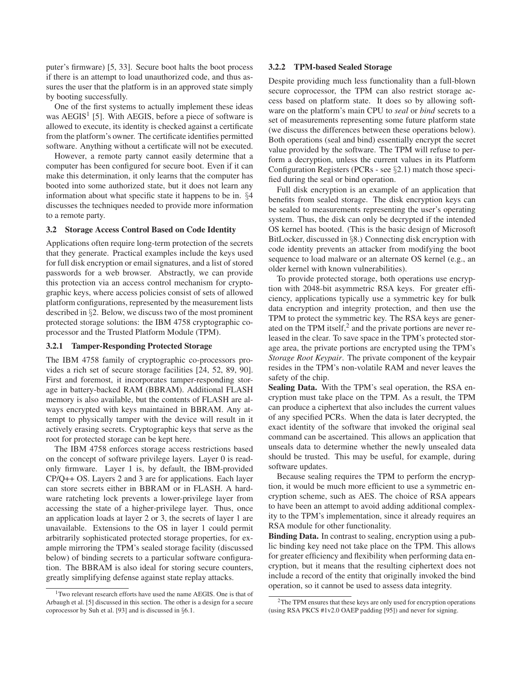puter's firmware) [5, 33]. Secure boot halts the boot process if there is an attempt to load unauthorized code, and thus assures the user that the platform is in an approved state simply by booting successfully.

One of the first systems to actually implement these ideas was  $\text{AEGIS}^1$  [5]. With AEGIS, before a piece of software is allowed to execute, its identity is checked against a certificate from the platform's owner. The certificate identifies permitted software. Anything without a certificate will not be executed.

However, a remote party cannot easily determine that a computer has been configured for secure boot. Even if it can make this determination, it only learns that the computer has booted into some authorized state, but it does not learn any information about what specific state it happens to be in. §4 discusses the techniques needed to provide more information to a remote party.

### **3.2 Storage Access Control Based on Code Identity**

Applications often require long-term protection of the secrets that they generate. Practical examples include the keys used for full disk encryption or email signatures, and a list of stored passwords for a web browser. Abstractly, we can provide this protection via an access control mechanism for cryptographic keys, where access policies consist of sets of allowed platform configurations, represented by the measurement lists described in §2. Below, we discuss two of the most prominent protected storage solutions: the IBM 4758 cryptographic coprocessor and the Trusted Platform Module (TPM).

#### **3.2.1 Tamper-Responding Protected Storage**

The IBM 4758 family of cryptographic co-processors provides a rich set of secure storage facilities [24, 52, 89, 90]. First and foremost, it incorporates tamper-responding storage in battery-backed RAM (BBRAM). Additional FLASH memory is also available, but the contents of FLASH are always encrypted with keys maintained in BBRAM. Any attempt to physically tamper with the device will result in it actively erasing secrets. Cryptographic keys that serve as the root for protected storage can be kept here.

The IBM 4758 enforces storage access restrictions based on the concept of software privilege layers. Layer 0 is readonly firmware. Layer 1 is, by default, the IBM-provided CP/Q++ OS. Layers 2 and 3 are for applications. Each layer can store secrets either in BBRAM or in FLASH. A hardware ratcheting lock prevents a lower-privilege layer from accessing the state of a higher-privilege layer. Thus, once an application loads at layer 2 or 3, the secrets of layer 1 are unavailable. Extensions to the OS in layer 1 could permit arbitrarily sophisticated protected storage properties, for example mirroring the TPM's sealed storage facility (discussed below) of binding secrets to a particular software configuration. The BBRAM is also ideal for storing secure counters, greatly simplifying defense against state replay attacks.

#### **3.2.2 TPM-based Sealed Storage**

Despite providing much less functionality than a full-blown secure coprocessor, the TPM can also restrict storage access based on platform state. It does so by allowing software on the platform's main CPU to *seal* or *bind* secrets to a set of measurements representing some future platform state (we discuss the differences between these operations below). Both operations (seal and bind) essentially encrypt the secret value provided by the software. The TPM will refuse to perform a decryption, unless the current values in its Platform Configuration Registers (PCRs - see §2.1) match those specified during the seal or bind operation.

Full disk encryption is an example of an application that benefits from sealed storage. The disk encryption keys can be sealed to measurements representing the user's operating system. Thus, the disk can only be decrypted if the intended OS kernel has booted. (This is the basic design of Microsoft BitLocker, discussed in §8.) Connecting disk encryption with code identity prevents an attacker from modifying the boot sequence to load malware or an alternate OS kernel (e.g., an older kernel with known vulnerabilities).

To provide protected storage, both operations use encryption with 2048-bit asymmetric RSA keys. For greater efficiency, applications typically use a symmetric key for bulk data encryption and integrity protection, and then use the TPM to protect the symmetric key. The RSA keys are generated on the TPM itself, $2$  and the private portions are never released in the clear. To save space in the TPM's protected storage area, the private portions are encrypted using the TPM's *Storage Root Keypair*. The private component of the keypair resides in the TPM's non-volatile RAM and never leaves the safety of the chip.

**Sealing Data.** With the TPM's seal operation, the RSA encryption must take place on the TPM. As a result, the TPM can produce a ciphertext that also includes the current values of any specified PCRs. When the data is later decrypted, the exact identity of the software that invoked the original seal command can be ascertained. This allows an application that unseals data to determine whether the newly unsealed data should be trusted. This may be useful, for example, during software updates.

Because sealing requires the TPM to perform the encryption, it would be much more efficient to use a symmetric encryption scheme, such as AES. The choice of RSA appears to have been an attempt to avoid adding additional complexity to the TPM's implementation, since it already requires an RSA module for other functionality.

**Binding Data.** In contrast to sealing, encryption using a public binding key need not take place on the TPM. This allows for greater efficiency and flexibility when performing data encryption, but it means that the resulting ciphertext does not include a record of the entity that originally invoked the bind operation, so it cannot be used to assess data integrity.

<sup>&</sup>lt;sup>1</sup>Two relevant research efforts have used the name AEGIS. One is that of Arbaugh et al. [5] discussed in this section. The other is a design for a secure coprocessor by Suh et al. [93] and is discussed in §6.1.

<sup>&</sup>lt;sup>2</sup>The TPM ensures that these keys are only used for encryption operations (using RSA PKCS #1v2.0 OAEP padding [95]) and never for signing.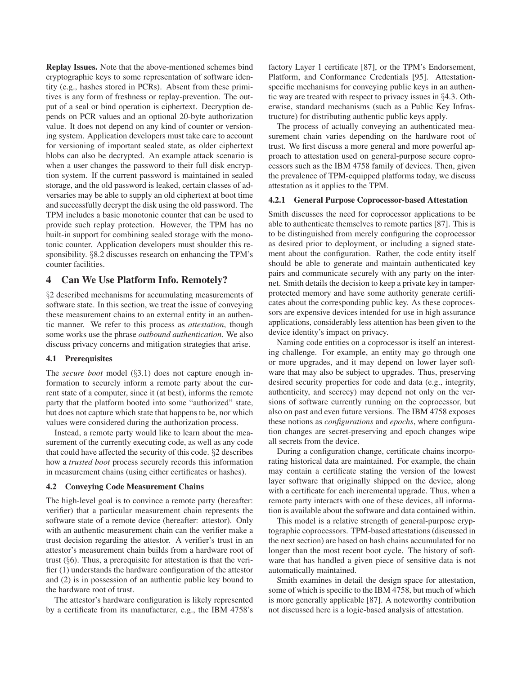**Replay Issues.** Note that the above-mentioned schemes bind cryptographic keys to some representation of software identity (e.g., hashes stored in PCRs). Absent from these primitives is any form of freshness or replay-prevention. The output of a seal or bind operation is ciphertext. Decryption depends on PCR values and an optional 20-byte authorization value. It does not depend on any kind of counter or versioning system. Application developers must take care to account for versioning of important sealed state, as older ciphertext blobs can also be decrypted. An example attack scenario is when a user changes the password to their full disk encryption system. If the current password is maintained in sealed storage, and the old password is leaked, certain classes of adversaries may be able to supply an old ciphertext at boot time and successfully decrypt the disk using the old password. The TPM includes a basic monotonic counter that can be used to provide such replay protection. However, the TPM has no built-in support for combining sealed storage with the monotonic counter. Application developers must shoulder this responsibility. §8.2 discusses research on enhancing the TPM's counter facilities.

## **4 Can We Use Platform Info. Remotely?**

§2 described mechanisms for accumulating measurements of software state. In this section, we treat the issue of conveying these measurement chains to an external entity in an authentic manner. We refer to this process as *attestation*, though some works use the phrase *outbound authentication*. We also discuss privacy concerns and mitigation strategies that arise.

#### **4.1 Prerequisites**

The *secure boot* model (§3.1) does not capture enough information to securely inform a remote party about the current state of a computer, since it (at best), informs the remote party that the platform booted into some "authorized" state, but does not capture which state that happens to be, nor which values were considered during the authorization process.

Instead, a remote party would like to learn about the measurement of the currently executing code, as well as any code that could have affected the security of this code. §2 describes how a *trusted boot* process securely records this information in measurement chains (using either certificates or hashes).

#### **4.2 Conveying Code Measurement Chains**

The high-level goal is to convince a remote party (hereafter: verifier) that a particular measurement chain represents the software state of a remote device (hereafter: attestor). Only with an authentic measurement chain can the verifier make a trust decision regarding the attestor. A verifier's trust in an attestor's measurement chain builds from a hardware root of trust (§6). Thus, a prerequisite for attestation is that the verifier (1) understands the hardware configuration of the attestor and (2) is in possession of an authentic public key bound to the hardware root of trust.

The attestor's hardware configuration is likely represented by a certificate from its manufacturer, e.g., the IBM 4758's factory Layer 1 certificate [87], or the TPM's Endorsement, Platform, and Conformance Credentials [95]. Attestationspecific mechanisms for conveying public keys in an authentic way are treated with respect to privacy issues in §4.3. Otherwise, standard mechanisms (such as a Public Key Infrastructure) for distributing authentic public keys apply.

The process of actually conveying an authenticated measurement chain varies depending on the hardware root of trust. We first discuss a more general and more powerful approach to attestation used on general-purpose secure coprocessors such as the IBM 4758 family of devices. Then, given the prevalence of TPM-equipped platforms today, we discuss attestation as it applies to the TPM.

#### **4.2.1 General Purpose Coprocessor-based Attestation**

Smith discusses the need for coprocessor applications to be able to authenticate themselves to remote parties [87]. This is to be distinguished from merely configuring the coprocessor as desired prior to deployment, or including a signed statement about the configuration. Rather, the code entity itself should be able to generate and maintain authenticated key pairs and communicate securely with any party on the internet. Smith details the decision to keep a private key in tamperprotected memory and have some authority generate certificates about the corresponding public key. As these coprocessors are expensive devices intended for use in high assurance applications, considerably less attention has been given to the device identity's impact on privacy.

Naming code entities on a coprocessor is itself an interesting challenge. For example, an entity may go through one or more upgrades, and it may depend on lower layer software that may also be subject to upgrades. Thus, preserving desired security properties for code and data (e.g., integrity, authenticity, and secrecy) may depend not only on the versions of software currently running on the coprocessor, but also on past and even future versions. The IBM 4758 exposes these notions as *configurations* and *epochs*, where configuration changes are secret-preserving and epoch changes wipe all secrets from the device.

During a configuration change, certificate chains incorporating historical data are maintained. For example, the chain may contain a certificate stating the version of the lowest layer software that originally shipped on the device, along with a certificate for each incremental upgrade. Thus, when a remote party interacts with one of these devices, all information is available about the software and data contained within.

This model is a relative strength of general-purpose cryptographic coprocessors. TPM-based attestations (discussed in the next section) are based on hash chains accumulated for no longer than the most recent boot cycle. The history of software that has handled a given piece of sensitive data is not automatically maintained.

Smith examines in detail the design space for attestation, some of which is specific to the IBM 4758, but much of which is more generally applicable [87]. A noteworthy contribution not discussed here is a logic-based analysis of attestation.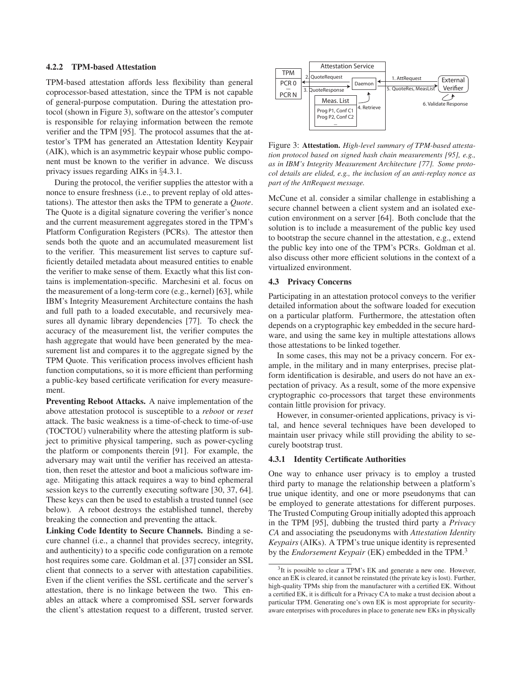### **4.2.2 TPM-based Attestation**

TPM-based attestation affords less flexibility than general coprocessor-based attestation, since the TPM is not capable of general-purpose computation. During the attestation protocol (shown in Figure 3), software on the attestor's computer is responsible for relaying information between the remote verifier and the TPM [95]. The protocol assumes that the attestor's TPM has generated an Attestation Identity Keypair (AIK), which is an asymmetric keypair whose public component must be known to the verifier in advance. We discuss privacy issues regarding AIKs in §4.3.1.

During the protocol, the verifier supplies the attestor with a nonce to ensure freshness (i.e., to prevent replay of old attestations). The attestor then asks the TPM to generate a *Quote*. The Quote is a digital signature covering the verifier's nonce and the current measurement aggregates stored in the TPM's Platform Configuration Registers (PCRs). The attestor then sends both the quote and an accumulated measurement list to the verifier. This measurement list serves to capture sufficiently detailed metadata about measured entities to enable the verifier to make sense of them. Exactly what this list contains is implementation-specific. Marchesini et al. focus on the measurement of a long-term core (e.g., kernel) [63], while IBM's Integrity Measurement Architecture contains the hash and full path to a loaded executable, and recursively measures all dynamic library dependencies [77]. To check the accuracy of the measurement list, the verifier computes the hash aggregate that would have been generated by the measurement list and compares it to the aggregate signed by the TPM Quote. This verification process involves efficient hash function computations, so it is more efficient than performing a public-key based certificate verification for every measurement.

**Preventing Reboot Attacks.** A naive implementation of the above attestation protocol is susceptible to a *reboot* or *reset* attack. The basic weakness is a time-of-check to time-of-use (TOCTOU) vulnerability where the attesting platform is subject to primitive physical tampering, such as power-cycling the platform or components therein [91]. For example, the adversary may wait until the verifier has received an attestation, then reset the attestor and boot a malicious software image. Mitigating this attack requires a way to bind ephemeral session keys to the currently executing software [30, 37, 64]. These keys can then be used to establish a trusted tunnel (see below). A reboot destroys the established tunnel, thereby breaking the connection and preventing the attack.

**Linking Code Identity to Secure Channels.** Binding a secure channel (i.e., a channel that provides secrecy, integrity, and authenticity) to a specific code configuration on a remote host requires some care. Goldman et al. [37] consider an SSL client that connects to a server with attestation capabilities. Even if the client verifies the SSL certificate and the server's attestation, there is no linkage between the two. This enables an attack where a compromised SSL server forwards the client's attestation request to a different, trusted server.



Figure 3: **Attestation.** *High-level summary of TPM-based attestation protocol based on signed hash chain measurements [95], e.g., as in IBM's Integrity Measurement Architecture [77]. Some protocol details are elided, e.g., the inclusion of an anti-replay nonce as part of the AttRequest message.*

McCune et al. consider a similar challenge in establishing a secure channel between a client system and an isolated execution environment on a server [64]. Both conclude that the solution is to include a measurement of the public key used to bootstrap the secure channel in the attestation, e.g., extend the public key into one of the TPM's PCRs. Goldman et al. also discuss other more efficient solutions in the context of a virtualized environment.

### **4.3 Privacy Concerns**

Participating in an attestation protocol conveys to the verifier detailed information about the software loaded for execution on a particular platform. Furthermore, the attestation often depends on a cryptographic key embedded in the secure hardware, and using the same key in multiple attestations allows those attestations to be linked together.

In some cases, this may not be a privacy concern. For example, in the military and in many enterprises, precise platform identification is desirable, and users do not have an expectation of privacy. As a result, some of the more expensive cryptographic co-processors that target these environments contain little provision for privacy.

However, in consumer-oriented applications, privacy is vital, and hence several techniques have been developed to maintain user privacy while still providing the ability to securely bootstrap trust.

## **4.3.1 Identity Certificate Authorities**

One way to enhance user privacy is to employ a trusted third party to manage the relationship between a platform's true unique identity, and one or more pseudonyms that can be employed to generate attestations for different purposes. The Trusted Computing Group initially adopted this approach in the TPM [95], dubbing the trusted third party a *Privacy CA* and associating the pseudonyms with *Attestation Identity Keypairs* (AIKs). A TPM's true unique identity is represented by the *Endorsement Keypair* (EK) embedded in the TPM.<sup>3</sup>

 $3$ It is possible to clear a TPM's EK and generate a new one. However, once an EK is cleared, it cannot be reinstated (the private key is lost). Further, high-quality TPMs ship from the manufacturer with a certified EK. Without a certified EK, it is difficult for a Privacy CA to make a trust decision about a particular TPM. Generating one's own EK is most appropriate for securityaware enterprises with procedures in place to generate new EKs in physically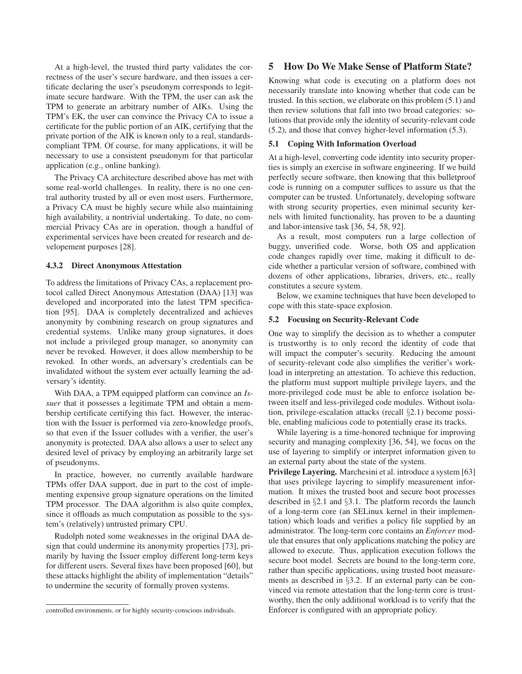At a high-level, the trusted third party validates the correctness of the user's secure hardware, and then issues a certificate declaring the user's pseudonym corresponds to legitimate secure hardware. With the TPM, the user can ask the TPM to generate an arbitrary number of AIKs. Using the TPM's EK, the user can convince the Privacy CA to issue a certificate for the public portion of an AIK, certifying that the private portion of the AIK is known only to a real, standardscompliant TPM. Of course, for many applications, it will be necessary to use a consistent pseudonym for that particular application (e.g., online banking).

The Privacy CA architecture described above has met with some real-world challenges. In reality, there is no one central authority trusted by all or even most users. Furthermore, a Privacy CA must be highly secure while also maintaining high availability, a nontrivial undertaking. To date, no commercial Privacy CAs are in operation, though a handful of experimental services have been created for research and developement purposes [28].

#### **4.3.2 Direct Anonymous Attestation**

To address the limitations of Privacy CAs, a replacement protocol called Direct Anonymous Attestation (DAA) [13] was developed and incorporated into the latest TPM specification [95]. DAA is completely decentralized and achieves anonymity by combining research on group signatures and credential systems. Unlike many group signatures, it does not include a privileged group manager, so anonymity can never be revoked. However, it does allow membership to be revoked. In other words, an adversary's credentials can be invalidated without the system ever actually learning the adversary's identity.

With DAA, a TPM equipped platform can convince an *Issuer* that it possesses a legitimate TPM and obtain a membership certificate certifying this fact. However, the interaction with the Issuer is performed via zero-knowledge proofs, so that even if the Issuer colludes with a verifier, the user's anonymity is protected. DAA also allows a user to select any desired level of privacy by employing an arbitrarily large set of pseudonyms.

In practice, however, no currently available hardware TPMs offer DAA support, due in part to the cost of implementing expensive group signature operations on the limited TPM processor. The DAA algorithm is also quite complex, since it offloads as much computation as possible to the system's (relatively) untrusted primary CPU.

Rudolph noted some weaknesses in the original DAA design that could undermine its anonymity properties [73], primarily by having the Issuer employ different long-term keys for different users. Several fixes have been proposed [60], but these attacks highlight the ability of implementation "details" to undermine the security of formally proven systems.

## **5 How Do We Make Sense of Platform State?**

Knowing what code is executing on a platform does not necessarily translate into knowing whether that code can be trusted. In this section, we elaborate on this problem (5.1) and then review solutions that fall into two broad categories: solutions that provide only the identity of security-relevant code (5.2), and those that convey higher-level information (5.3).

### **5.1 Coping With Information Overload**

At a high-level, converting code identity into security properties is simply an exercise in software engineering. If we build perfectly secure software, then knowing that this bulletproof code is running on a computer suffices to assure us that the computer can be trusted. Unfortunately, developing software with strong security properties, even minimal security kernels with limited functionality, has proven to be a daunting and labor-intensive task [36, 54, 58, 92].

As a result, most computers run a large collection of buggy, unverified code. Worse, both OS and application code changes rapidly over time, making it difficult to decide whether a particular version of software, combined with dozens of other applications, libraries, drivers, etc., really constitutes a secure system.

Below, we examine techniques that have been developed to cope with this state-space explosion.

#### **5.2 Focusing on Security-Relevant Code**

One way to simplify the decision as to whether a computer is trustworthy is to only record the identity of code that will impact the computer's security. Reducing the amount of security-relevant code also simplifies the verifier's workload in interpreting an attestation. To achieve this reduction, the platform must support multiple privilege layers, and the more-privileged code must be able to enforce isolation between itself and less-privileged code modules. Without isolation, privilege-escalation attacks (recall §2.1) become possible, enabling malicious code to potentially erase its tracks.

While layering is a time-honored technique for improving security and managing complexity [36, 54], we focus on the use of layering to simplify or interpret information given to an external party about the state of the system.

**Privilege Layering.** Marchesini et al. introduce a system [63] that uses privilege layering to simplify measurement information. It mixes the trusted boot and secure boot processes described in §2.1 and §3.1. The platform records the launch of a long-term core (an SELinux kernel in their implementation) which loads and verifies a policy file supplied by an administrator. The long-term core contains an *Enforcer* module that ensures that only applications matching the policy are allowed to execute. Thus, application execution follows the secure boot model. Secrets are bound to the long-term core, rather than specific applications, using trusted boot measurements as described in §3.2. If an external party can be convinced via remote attestation that the long-term core is trustworthy, then the only additional workload is to verify that the Enforcer is configured with an appropriate policy.

controlled environments, or for highly security-conscious individuals.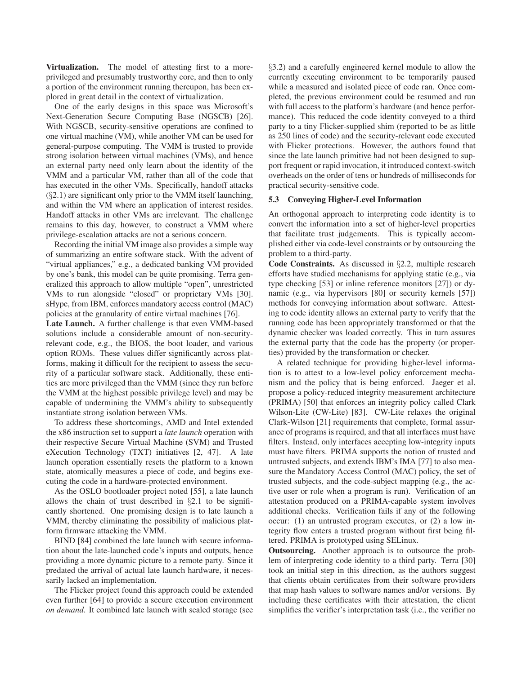**Virtualization.** The model of attesting first to a moreprivileged and presumably trustworthy core, and then to only a portion of the environment running thereupon, has been explored in great detail in the context of virtualization.

One of the early designs in this space was Microsoft's Next-Generation Secure Computing Base (NGSCB) [26]. With NGSCB, security-sensitive operations are confined to one virtual machine (VM), while another VM can be used for general-purpose computing. The VMM is trusted to provide strong isolation between virtual machines (VMs), and hence an external party need only learn about the identity of the VMM and a particular VM, rather than all of the code that has executed in the other VMs. Specifically, handoff attacks  $(\S2.1)$  are significant only prior to the VMM itself launching, and within the VM where an application of interest resides. Handoff attacks in other VMs are irrelevant. The challenge remains to this day, however, to construct a VMM where privilege-escalation attacks are not a serious concern.

Recording the initial VM image also provides a simple way of summarizing an entire software stack. With the advent of "virtual appliances," e.g., a dedicated banking VM provided by one's bank, this model can be quite promising. Terra generalized this approach to allow multiple "open", unrestricted VMs to run alongside "closed" or proprietary VMs [30]. sHype, from IBM, enforces mandatory access control (MAC) policies at the granularity of entire virtual machines [76].

**Late Launch.** A further challenge is that even VMM-based solutions include a considerable amount of non-securityrelevant code, e.g., the BIOS, the boot loader, and various option ROMs. These values differ significantly across platforms, making it difficult for the recipient to assess the security of a particular software stack. Additionally, these entities are more privileged than the VMM (since they run before the VMM at the highest possible privilege level) and may be capable of undermining the VMM's ability to subsequently instantiate strong isolation between VMs.

To address these shortcomings, AMD and Intel extended the x86 instruction set to support a *late launch* operation with their respective Secure Virtual Machine (SVM) and Trusted eXecution Technology (TXT) initiatives [2, 47]. A late launch operation essentially resets the platform to a known state, atomically measures a piece of code, and begins executing the code in a hardware-protected environment.

As the OSLO bootloader project noted [55], a late launch allows the chain of trust described in §2.1 to be significantly shortened. One promising design is to late launch a VMM, thereby eliminating the possibility of malicious platform firmware attacking the VMM.

BIND [84] combined the late launch with secure information about the late-launched code's inputs and outputs, hence providing a more dynamic picture to a remote party. Since it predated the arrival of actual late launch hardware, it necessarily lacked an implementation.

The Flicker project found this approach could be extended even further [64] to provide a secure execution environment *on demand*. It combined late launch with sealed storage (see §3.2) and a carefully engineered kernel module to allow the currently executing environment to be temporarily paused while a measured and isolated piece of code ran. Once completed, the previous environment could be resumed and run with full access to the platform's hardware (and hence performance). This reduced the code identity conveyed to a third party to a tiny Flicker-supplied shim (reported to be as little as 250 lines of code) and the security-relevant code executed with Flicker protections. However, the authors found that since the late launch primitive had not been designed to support frequent or rapid invocation, it introduced context-switch overheads on the order of tens or hundreds of milliseconds for practical security-sensitive code.

#### **5.3 Conveying Higher-Level Information**

An orthogonal approach to interpreting code identity is to convert the information into a set of higher-level properties that facilitate trust judgements. This is typically accomplished either via code-level constraints or by outsourcing the problem to a third-party.

**Code Constraints.** As discussed in §2.2, multiple research efforts have studied mechanisms for applying static (e.g., via type checking [53] or inline reference monitors [27]) or dynamic (e.g., via hypervisors [80] or security kernels [57]) methods for conveying information about software. Attesting to code identity allows an external party to verify that the running code has been appropriately transformed or that the dynamic checker was loaded correctly. This in turn assures the external party that the code has the property (or properties) provided by the transformation or checker.

A related technique for providing higher-level information is to attest to a low-level policy enforcement mechanism and the policy that is being enforced. Jaeger et al. propose a policy-reduced integrity measurement architecture (PRIMA) [50] that enforces an integrity policy called Clark Wilson-Lite (CW-Lite) [83]. CW-Lite relaxes the original Clark-Wilson [21] requirements that complete, formal assurance of programs is required, and that all interfaces must have filters. Instead, only interfaces accepting low-integrity inputs must have filters. PRIMA supports the notion of trusted and untrusted subjects, and extends IBM's IMA [77] to also measure the Mandatory Access Control (MAC) policy, the set of trusted subjects, and the code-subject mapping (e.g., the active user or role when a program is run). Verification of an attestation produced on a PRIMA-capable system involves additional checks. Verification fails if any of the following occur: (1) an untrusted program executes, or (2) a low integrity flow enters a trusted program without first being filtered. PRIMA is prototyped using SELinux.

**Outsourcing.** Another approach is to outsource the problem of interpreting code identity to a third party. Terra [30] took an initial step in this direction, as the authors suggest that clients obtain certificates from their software providers that map hash values to software names and/or versions. By including these certificates with their attestation, the client simplifies the verifier's interpretation task (i.e., the verifier no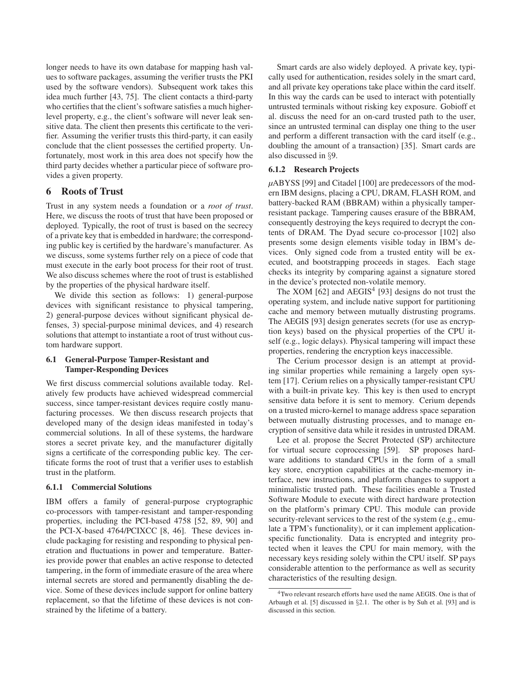longer needs to have its own database for mapping hash values to software packages, assuming the verifier trusts the PKI used by the software vendors). Subsequent work takes this idea much further [43, 75]. The client contacts a third-party who certifies that the client's software satisfies a much higherlevel property, e.g., the client's software will never leak sensitive data. The client then presents this certificate to the verifier. Assuming the verifier trusts this third-party, it can easily conclude that the client possesses the certified property. Unfortunately, most work in this area does not specify how the third party decides whether a particular piece of software provides a given property.

## **6 Roots of Trust**

Trust in any system needs a foundation or a *root of trust*. Here, we discuss the roots of trust that have been proposed or deployed. Typically, the root of trust is based on the secrecy of a private key that is embedded in hardware; the corresponding public key is certified by the hardware's manufacturer. As we discuss, some systems further rely on a piece of code that must execute in the early boot process for their root of trust. We also discuss schemes where the root of trust is established by the properties of the physical hardware itself.

We divide this section as follows: 1) general-purpose devices with significant resistance to physical tampering, 2) general-purpose devices without significant physical defenses, 3) special-purpose minimal devices, and 4) research solutions that attempt to instantiate a root of trust without custom hardware support.

### **6.1 General-Purpose Tamper-Resistant and Tamper-Responding Devices**

We first discuss commercial solutions available today. Relatively few products have achieved widespread commercial success, since tamper-resistant devices require costly manufacturing processes. We then discuss research projects that developed many of the design ideas manifested in today's commercial solutions. In all of these systems, the hardware stores a secret private key, and the manufacturer digitally signs a certificate of the corresponding public key. The certificate forms the root of trust that a verifier uses to establish trust in the platform.

### **6.1.1 Commercial Solutions**

IBM offers a family of general-purpose cryptographic co-processors with tamper-resistant and tamper-responding properties, including the PCI-based 4758 [52, 89, 90] and the PCI-X-based 4764/PCIXCC [8, 46]. These devices include packaging for resisting and responding to physical penetration and fluctuations in power and temperature. Batteries provide power that enables an active response to detected tampering, in the form of immediate erasure of the area where internal secrets are stored and permanently disabling the device. Some of these devices include support for online battery replacement, so that the lifetime of these devices is not constrained by the lifetime of a battery.

Smart cards are also widely deployed. A private key, typically used for authentication, resides solely in the smart card, and all private key operations take place within the card itself. In this way the cards can be used to interact with potentially untrusted terminals without risking key exposure. Gobioff et al. discuss the need for an on-card trusted path to the user, since an untrusted terminal can display one thing to the user and perform a different transaction with the card itself (e.g., doubling the amount of a transaction) [35]. Smart cards are also discussed in §9.

## **6.1.2 Research Projects**

*µ*ABYSS [99] and Citadel [100] are predecessors of the modern IBM designs, placing a CPU, DRAM, FLASH ROM, and battery-backed RAM (BBRAM) within a physically tamperresistant package. Tampering causes erasure of the BBRAM, consequently destroying the keys required to decrypt the contents of DRAM. The Dyad secure co-processor [102] also presents some design elements visible today in IBM's devices. Only signed code from a trusted entity will be executed, and bootstrapping proceeds in stages. Each stage checks its integrity by comparing against a signature stored in the device's protected non-volatile memory.

The XOM  $[62]$  and AEGIS<sup>4</sup> [93] designs do not trust the operating system, and include native support for partitioning cache and memory between mutually distrusting programs. The AEGIS [93] design generates secrets (for use as encryption keys) based on the physical properties of the CPU itself (e.g., logic delays). Physical tampering will impact these properties, rendering the encryption keys inaccessible.

The Cerium processor design is an attempt at providing similar properties while remaining a largely open system [17]. Cerium relies on a physically tamper-resistant CPU with a built-in private key. This key is then used to encrypt sensitive data before it is sent to memory. Cerium depends on a trusted micro-kernel to manage address space separation between mutually distrusting processes, and to manage encryption of sensitive data while it resides in untrusted DRAM.

Lee et al. propose the Secret Protected (SP) architecture for virtual secure coprocessing [59]. SP proposes hardware additions to standard CPUs in the form of a small key store, encryption capabilities at the cache-memory interface, new instructions, and platform changes to support a minimalistic trusted path. These facilities enable a Trusted Software Module to execute with direct hardware protection on the platform's primary CPU. This module can provide security-relevant services to the rest of the system (e.g., emulate a TPM's functionality), or it can implement applicationspecific functionality. Data is encrypted and integrity protected when it leaves the CPU for main memory, with the necessary keys residing solely within the CPU itself. SP pays considerable attention to the performance as well as security characteristics of the resulting design.

<sup>4</sup>Two relevant research efforts have used the name AEGIS. One is that of Arbaugh et al. [5] discussed in §2.1. The other is by Suh et al. [93] and is discussed in this section.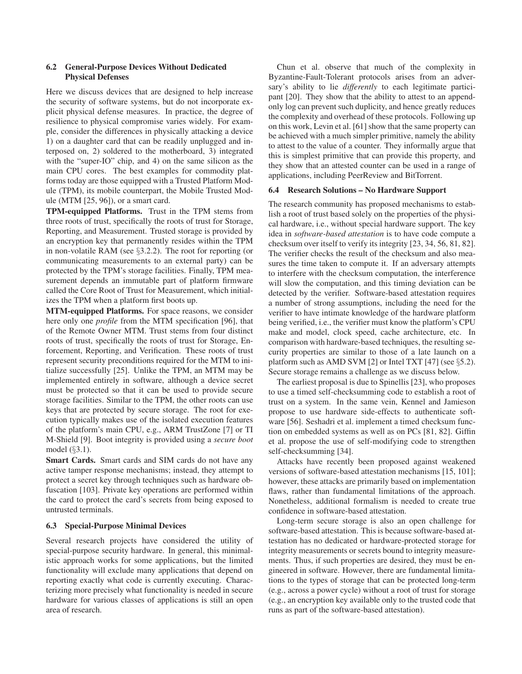## **6.2 General-Purpose Devices Without Dedicated Physical Defenses**

Here we discuss devices that are designed to help increase the security of software systems, but do not incorporate explicit physical defense measures. In practice, the degree of resilience to physical compromise varies widely. For example, consider the differences in physically attacking a device 1) on a daughter card that can be readily unplugged and interposed on, 2) soldered to the motherboard, 3) integrated with the "super-IO" chip, and 4) on the same silicon as the main CPU cores. The best examples for commodity platforms today are those equipped with a Trusted Platform Module (TPM), its mobile counterpart, the Mobile Trusted Module (MTM [25, 96]), or a smart card.

**TPM-equipped Platforms.** Trust in the TPM stems from three roots of trust, specifically the roots of trust for Storage, Reporting, and Measurement. Trusted storage is provided by an encryption key that permanently resides within the TPM in non-volatile RAM (see §3.2.2). The root for reporting (or communicating measurements to an external party) can be protected by the TPM's storage facilities. Finally, TPM measurement depends an immutable part of platform firmware called the Core Root of Trust for Measurement, which initializes the TPM when a platform first boots up.

**MTM-equipped Platforms.** For space reasons, we consider here only one *profile* from the MTM specification [96], that of the Remote Owner MTM. Trust stems from four distinct roots of trust, specifically the roots of trust for Storage, Enforcement, Reporting, and Verification. These roots of trust represent security preconditions required for the MTM to initialize successfully [25]. Unlike the TPM, an MTM may be implemented entirely in software, although a device secret must be protected so that it can be used to provide secure storage facilities. Similar to the TPM, the other roots can use keys that are protected by secure storage. The root for execution typically makes use of the isolated execution features of the platform's main CPU, e.g., ARM TrustZone [7] or TI M-Shield [9]. Boot integrity is provided using a *secure boot* model (§3.1).

**Smart Cards.** Smart cards and SIM cards do not have any active tamper response mechanisms; instead, they attempt to protect a secret key through techniques such as hardware obfuscation [103]. Private key operations are performed within the card to protect the card's secrets from being exposed to untrusted terminals.

## **6.3 Special-Purpose Minimal Devices**

Several research projects have considered the utility of special-purpose security hardware. In general, this minimalistic approach works for some applications, but the limited functionality will exclude many applications that depend on reporting exactly what code is currently executing. Characterizing more precisely what functionality is needed in secure hardware for various classes of applications is still an open area of research.

Chun et al. observe that much of the complexity in Byzantine-Fault-Tolerant protocols arises from an adversary's ability to lie *differently* to each legitimate participant [20]. They show that the ability to attest to an appendonly log can prevent such duplicity, and hence greatly reduces the complexity and overhead of these protocols. Following up on this work, Levin et al. [61] show that the same property can be achieved with a much simpler primitive, namely the ability to attest to the value of a counter. They informally argue that this is simplest primitive that can provide this property, and they show that an attested counter can be used in a range of applications, including PeerReview and BitTorrent.

### **6.4 Research Solutions – No Hardware Support**

The research community has proposed mechanisms to establish a root of trust based solely on the properties of the physical hardware, i.e., without special hardware support. The key idea in *software-based attestation* is to have code compute a checksum over itself to verify its integrity [23, 34, 56, 81, 82]. The verifier checks the result of the checksum and also measures the time taken to compute it. If an adversary attempts to interfere with the checksum computation, the interference will slow the computation, and this timing deviation can be detected by the verifier. Software-based attestation requires a number of strong assumptions, including the need for the verifier to have intimate knowledge of the hardware platform being verified, i.e., the verifier must know the platform's CPU make and model, clock speed, cache architecture, etc. In comparison with hardware-based techniques, the resulting security properties are similar to those of a late launch on a platform such as AMD SVM [2] or Intel TXT [47] (see §5.2). Secure storage remains a challenge as we discuss below.

The earliest proposal is due to Spinellis [23], who proposes to use a timed self-checksumming code to establish a root of trust on a system. In the same vein, Kennel and Jamieson propose to use hardware side-effects to authenticate software [56]. Seshadri et al. implement a timed checksum function on embedded systems as well as on PCs [81, 82]. Giffin et al. propose the use of self-modifying code to strengthen self-checksumming [34].

Attacks have recently been proposed against weakened versions of software-based attestation mechanisms [15, 101]; however, these attacks are primarily based on implementation flaws, rather than fundamental limitations of the approach. Nonetheless, additional formalism is needed to create true confidence in software-based attestation.

Long-term secure storage is also an open challenge for software-based attestation. This is because software-based attestation has no dedicated or hardware-protected storage for integrity measurements or secrets bound to integrity measurements. Thus, if such properties are desired, they must be engineered in software. However, there are fundamental limitations to the types of storage that can be protected long-term (e.g., across a power cycle) without a root of trust for storage (e.g., an encryption key available only to the trusted code that runs as part of the software-based attestation).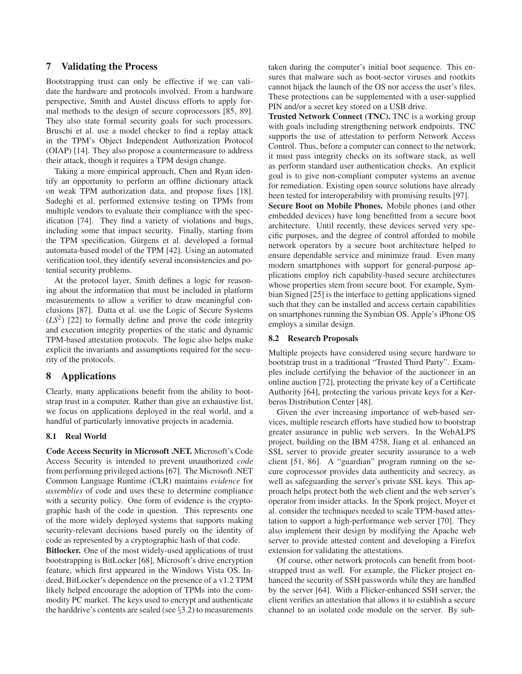## **7 Validating the Process**

Bootstrapping trust can only be effective if we can validate the hardware and protocols involved. From a hardware perspective, Smith and Austel discuss efforts to apply formal methods to the design of secure coprocessors [85, 89]. They also state formal security goals for such processors. Bruschi et al. use a model checker to find a replay attack in the TPM's Object Independent Authorization Protocol (OIAP) [14]. They also propose a countermeasure to address their attack, though it requires a TPM design change.

Taking a more empirical approach, Chen and Ryan identify an opportunity to perform an offline dictionary attack on weak TPM authorization data, and propose fixes [18]. Sadeghi et al. performed extensive testing on TPMs from multiple vendors to evaluate their compliance with the specification [74]. They find a variety of violations and bugs, including some that impact security. Finally, starting from the TPM specification, Gürgens et al. developed a formal automata-based model of the TPM [42]. Using an automated verification tool, they identify several inconsistencies and potential security problems.

At the protocol layer, Smith defines a logic for reasoning about the information that must be included in platform measurements to allow a verifier to draw meaningful conclusions [87]. Datta et al. use the Logic of Secure Systems  $(LS<sup>2</sup>)$  [22] to formally define and prove the code integrity and execution integrity properties of the static and dynamic TPM-based attestation protocols. The logic also helps make explicit the invariants and assumptions required for the security of the protocols.

## **8 Applications**

Clearly, many applications benefit from the ability to bootstrap trust in a computer. Rather than give an exhaustive list, we focus on applications deployed in the real world, and a handful of particularly innovative projects in academia.

## **8.1 Real World**

**Code Access Security in Microsoft .NET.** Microsoft's Code Access Security is intended to prevent unauthorized *code* from performing privileged actions [67]. The Microsoft .NET Common Language Runtime (CLR) maintains *evidence* for *assemblies* of code and uses these to determine compliance with a security policy. One form of evidence is the cryptographic hash of the code in question. This represents one of the more widely deployed systems that supports making security-relevant decisions based purely on the identity of code as represented by a cryptographic hash of that code.

**Bitlocker.** One of the most widely-used applications of trust bootstrapping is BitLocker [68], Microsoft's drive encryption feature, which first appeared in the Windows Vista OS. Indeed, BitLocker's dependence on the presence of a v1.2 TPM likely helped encourage the adoption of TPMs into the commodity PC market. The keys used to encrypt and authenticate the harddrive's contents are sealed (see  $\S$ 3.2) to measurements taken during the computer's initial boot sequence. This ensures that malware such as boot-sector viruses and rootkits cannot hijack the launch of the OS nor access the user's files. These protections can be supplemented with a user-supplied PIN and/or a secret key stored on a USB drive.

**Trusted Network Connect (TNC).** TNC is a working group with goals including strengthening network endpoints. TNC supports the use of attestation to perform Network Access Control. Thus, before a computer can connect to the network, it must pass integrity checks on its software stack, as well as perform standard user authentication checks. An explicit goal is to give non-compliant computer systems an avenue for remediation. Existing open source solutions have already been tested for interoperability with promising results [97].

**Secure Boot on Mobile Phones.** Mobile phones (and other embedded devices) have long benefitted from a secure boot architecture. Until recently, these devices served very specific purposes, and the degree of control afforded to mobile network operators by a secure boot architecture helped to ensure dependable service and minimize fraud. Even many modern smartphones with support for general-purpose applications employ rich capability-based secure architectures whose properties stem from secure boot. For example, Symbian Signed [25] is the interface to getting applications signed such that they can be installed and access certain capabilities on smartphones running the Symbian OS. Apple's iPhone OS employs a similar design.

#### **8.2 Research Proposals**

Multiple projects have considered using secure hardware to bootstrap trust in a traditional "Trusted Third Party". Examples include certifying the behavior of the auctioneer in an online auction [72], protecting the private key of a Certificate Authority [64], protecting the various private keys for a Kerberos Distribution Center [48].

Given the ever increasing importance of web-based services, multiple research efforts have studied how to bootstrap greater assurance in public web servers. In the WebALPS project, building on the IBM 4758, Jiang et al. enhanced an SSL server to provide greater security assurance to a web client [51, 86]. A "guardian" program running on the secure coprocessor provides data authenticity and secrecy, as well as safeguarding the server's private SSL keys. This approach helps protect both the web client and the web server's operator from insider attacks. In the Spork project, Moyer et al. consider the techniques needed to scale TPM-based attestation to support a high-performance web server [70]. They also implement their design by modifying the Apache web server to provide attested content and developing a Firefox extension for validating the attestations.

Of course, other network protocols can benefit from bootstrapped trust as well. For example, the Flicker project enhanced the security of SSH passwords while they are handled by the server [64]. With a Flicker-enhanced SSH server, the client verifies an attestation that allows it to establish a secure channel to an isolated code module on the server. By sub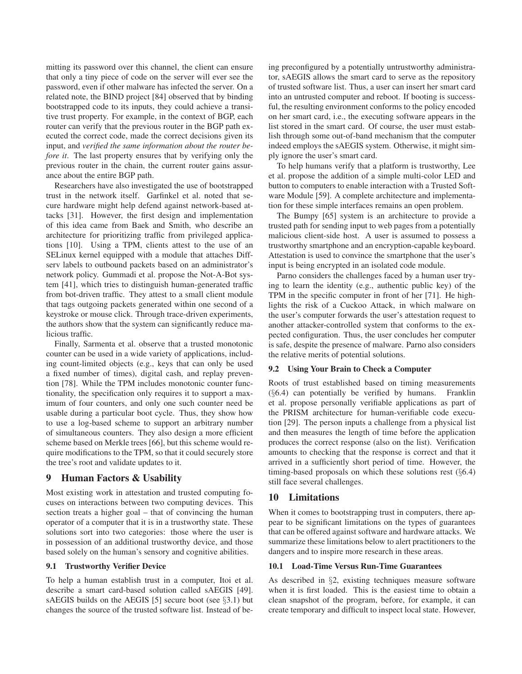mitting its password over this channel, the client can ensure that only a tiny piece of code on the server will ever see the password, even if other malware has infected the server. On a related note, the BIND project [84] observed that by binding bootstrapped code to its inputs, they could achieve a transitive trust property. For example, in the context of BGP, each router can verify that the previous router in the BGP path executed the correct code, made the correct decisions given its input, and *verified the same information about the router before it*. The last property ensures that by verifying only the previous router in the chain, the current router gains assurance about the entire BGP path.

Researchers have also investigated the use of bootstrapped trust in the network itself. Garfinkel et al. noted that secure hardware might help defend against network-based attacks [31]. However, the first design and implementation of this idea came from Baek and Smith, who describe an architecture for prioritizing traffic from privileged applications [10]. Using a TPM, clients attest to the use of an SELinux kernel equipped with a module that attaches Diffserv labels to outbound packets based on an administrator's network policy. Gummadi et al. propose the Not-A-Bot system [41], which tries to distinguish human-generated traffic from bot-driven traffic. They attest to a small client module that tags outgoing packets generated within one second of a keystroke or mouse click. Through trace-driven experiments, the authors show that the system can significantly reduce malicious traffic.

Finally, Sarmenta et al. observe that a trusted monotonic counter can be used in a wide variety of applications, including count-limited objects (e.g., keys that can only be used a fixed number of times), digital cash, and replay prevention [78]. While the TPM includes monotonic counter functionality, the specification only requires it to support a maximum of four counters, and only one such counter need be usable during a particular boot cycle. Thus, they show how to use a log-based scheme to support an arbitrary number of simultaneous counters. They also design a more efficient scheme based on Merkle trees [66], but this scheme would require modifications to the TPM, so that it could securely store the tree's root and validate updates to it.

## **9 Human Factors & Usability**

Most existing work in attestation and trusted computing focuses on interactions between two computing devices. This section treats a higher goal – that of convincing the human operator of a computer that it is in a trustworthy state. These solutions sort into two categories: those where the user is in possession of an additional trustworthy device, and those based solely on the human's sensory and cognitive abilities.

## **9.1 Trustworthy Verifier Device**

To help a human establish trust in a computer, Itoi et al. describe a smart card-based solution called sAEGIS [49]. sAEGIS builds on the AEGIS [5] secure boot (see §3.1) but changes the source of the trusted software list. Instead of being preconfigured by a potentially untrustworthy administrator, sAEGIS allows the smart card to serve as the repository of trusted software list. Thus, a user can insert her smart card into an untrusted computer and reboot. If booting is successful, the resulting environment conforms to the policy encoded on her smart card, i.e., the executing software appears in the list stored in the smart card. Of course, the user must establish through some out-of-band mechanism that the computer indeed employs the sAEGIS system. Otherwise, it might simply ignore the user's smart card.

To help humans verify that a platform is trustworthy, Lee et al. propose the addition of a simple multi-color LED and button to computers to enable interaction with a Trusted Software Module [59]. A complete architecture and implementation for these simple interfaces remains an open problem.

The Bumpy [65] system is an architecture to provide a trusted path for sending input to web pages from a potentially malicious client-side host. A user is assumed to possess a trustworthy smartphone and an encryption-capable keyboard. Attestation is used to convince the smartphone that the user's input is being encrypted in an isolated code module.

Parno considers the challenges faced by a human user trying to learn the identity (e.g., authentic public key) of the TPM in the specific computer in front of her [71]. He highlights the risk of a Cuckoo Attack, in which malware on the user's computer forwards the user's attestation request to another attacker-controlled system that conforms to the expected configuration. Thus, the user concludes her computer is safe, despite the presence of malware. Parno also considers the relative merits of potential solutions.

## **9.2 Using Your Brain to Check a Computer**

Roots of trust established based on timing measurements (§6.4) can potentially be verified by humans. Franklin et al. propose personally verifiable applications as part of the PRISM architecture for human-verifiable code execution [29]. The person inputs a challenge from a physical list and then measures the length of time before the application produces the correct response (also on the list). Verification amounts to checking that the response is correct and that it arrived in a sufficiently short period of time. However, the timing-based proposals on which these solutions rest (§6.4) still face several challenges.

## **10 Limitations**

When it comes to bootstrapping trust in computers, there appear to be significant limitations on the types of guarantees that can be offered against software and hardware attacks. We summarize these limitations below to alert practitioners to the dangers and to inspire more research in these areas.

## **10.1 Load-Time Versus Run-Time Guarantees**

As described in §2, existing techniques measure software when it is first loaded. This is the easiest time to obtain a clean snapshot of the program, before, for example, it can create temporary and difficult to inspect local state. However,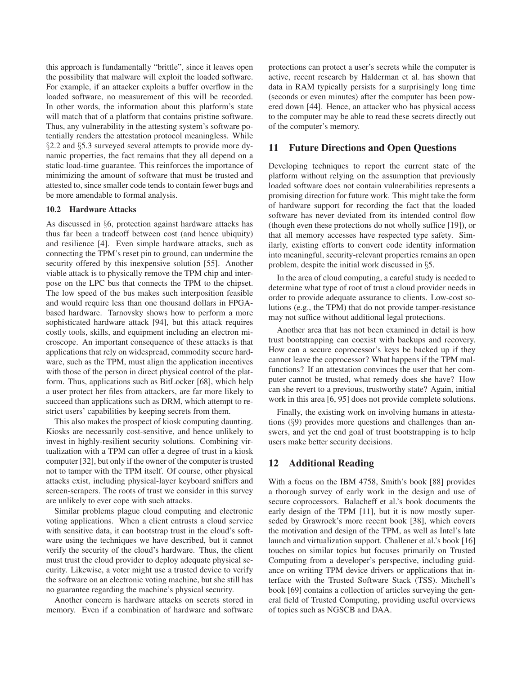this approach is fundamentally "brittle", since it leaves open the possibility that malware will exploit the loaded software. For example, if an attacker exploits a buffer overflow in the loaded software, no measurement of this will be recorded. In other words, the information about this platform's state will match that of a platform that contains pristine software. Thus, any vulnerability in the attesting system's software potentially renders the attestation protocol meaningless. While §2.2 and §5.3 surveyed several attempts to provide more dynamic properties, the fact remains that they all depend on a static load-time guarantee. This reinforces the importance of minimizing the amount of software that must be trusted and attested to, since smaller code tends to contain fewer bugs and be more amendable to formal analysis.

### **10.2 Hardware Attacks**

As discussed in §6, protection against hardware attacks has thus far been a tradeoff between cost (and hence ubiquity) and resilience [4]. Even simple hardware attacks, such as connecting the TPM's reset pin to ground, can undermine the security offered by this inexpensive solution [55]. Another viable attack is to physically remove the TPM chip and interpose on the LPC bus that connects the TPM to the chipset. The low speed of the bus makes such interposition feasible and would require less than one thousand dollars in FPGAbased hardware. Tarnovsky shows how to perform a more sophisticated hardware attack [94], but this attack requires costly tools, skills, and equipment including an electron microscope. An important consequence of these attacks is that applications that rely on widespread, commodity secure hardware, such as the TPM, must align the application incentives with those of the person in direct physical control of the platform. Thus, applications such as BitLocker [68], which help a user protect her files from attackers, are far more likely to succeed than applications such as DRM, which attempt to restrict users' capabilities by keeping secrets from them.

This also makes the prospect of kiosk computing daunting. Kiosks are necessarily cost-sensitive, and hence unlikely to invest in highly-resilient security solutions. Combining virtualization with a TPM can offer a degree of trust in a kiosk computer [32], but only if the owner of the computer is trusted not to tamper with the TPM itself. Of course, other physical attacks exist, including physical-layer keyboard sniffers and screen-scrapers. The roots of trust we consider in this survey are unlikely to ever cope with such attacks.

Similar problems plague cloud computing and electronic voting applications. When a client entrusts a cloud service with sensitive data, it can bootstrap trust in the cloud's software using the techniques we have described, but it cannot verify the security of the cloud's hardware. Thus, the client must trust the cloud provider to deploy adequate physical security. Likewise, a voter might use a trusted device to verify the software on an electronic voting machine, but she still has no guarantee regarding the machine's physical security.

Another concern is hardware attacks on secrets stored in memory. Even if a combination of hardware and software protections can protect a user's secrets while the computer is active, recent research by Halderman et al. has shown that data in RAM typically persists for a surprisingly long time (seconds or even minutes) after the computer has been powered down [44]. Hence, an attacker who has physical access to the computer may be able to read these secrets directly out of the computer's memory.

## **11 Future Directions and Open Questions**

Developing techniques to report the current state of the platform without relying on the assumption that previously loaded software does not contain vulnerabilities represents a promising direction for future work. This might take the form of hardware support for recording the fact that the loaded software has never deviated from its intended control flow (though even these protections do not wholly suffice [19]), or that all memory accesses have respected type safety. Similarly, existing efforts to convert code identity information into meaningful, security-relevant properties remains an open problem, despite the initial work discussed in §5.

In the area of cloud computing, a careful study is needed to determine what type of root of trust a cloud provider needs in order to provide adequate assurance to clients. Low-cost solutions (e.g., the TPM) that do not provide tamper-resistance may not suffice without additional legal protections.

Another area that has not been examined in detail is how trust bootstrapping can coexist with backups and recovery. How can a secure coprocessor's keys be backed up if they cannot leave the coprocessor? What happens if the TPM malfunctions? If an attestation convinces the user that her computer cannot be trusted, what remedy does she have? How can she revert to a previous, trustworthy state? Again, initial work in this area [6, 95] does not provide complete solutions.

Finally, the existing work on involving humans in attestations (§9) provides more questions and challenges than answers, and yet the end goal of trust bootstrapping is to help users make better security decisions.

## **12 Additional Reading**

With a focus on the IBM 4758, Smith's book [88] provides a thorough survey of early work in the design and use of secure coprocessors. Balacheff et al.'s book documents the early design of the TPM [11], but it is now mostly superseded by Grawrock's more recent book [38], which covers the motivation and design of the TPM, as well as Intel's late launch and virtualization support. Challener et al.'s book [16] touches on similar topics but focuses primarily on Trusted Computing from a developer's perspective, including guidance on writing TPM device drivers or applications that interface with the Trusted Software Stack (TSS). Mitchell's book [69] contains a collection of articles surveying the general field of Trusted Computing, providing useful overviews of topics such as NGSCB and DAA.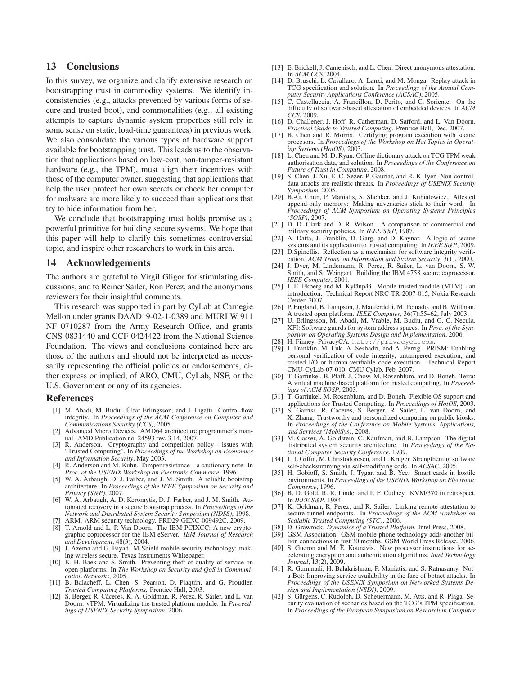## **13 Conclusions**

In this survey, we organize and clarify extensive research on bootstrapping trust in commodity systems. We identify inconsistencies (e.g., attacks prevented by various forms of secure and trusted boot), and commonalities (e.g., all existing attempts to capture dynamic system properties still rely in some sense on static, load-time guarantees) in previous work. We also consolidate the various types of hardware support available for bootstrapping trust. This leads us to the observation that applications based on low-cost, non-tamper-resistant hardware (e.g., the TPM), must align their incentives with those of the computer owner, suggesting that applications that help the user protect her own secrets or check her computer for malware are more likely to succeed than applications that try to hide information from her.

We conclude that bootstrapping trust holds promise as a powerful primitive for building secure systems. We hope that this paper will help to clarify this sometimes controversial topic, and inspire other researchers to work in this area.

### **14 Acknowledgements**

The authors are grateful to Virgil Gligor for stimulating discussions, and to Reiner Sailer, Ron Perez, and the anonymous reviewers for their insightful comments.

This research was supported in part by CyLab at Carnegie Mellon under grants DAAD19-02-1-0389 and MURI W 911 NF 0710287 from the Army Research Office, and grants CNS-0831440 and CCF-0424422 from the National Science Foundation. The views and conclusions contained here are those of the authors and should not be interpreted as necessarily representing the official policies or endorsements, either express or implied, of ARO, CMU, CyLab, NSF, or the U.S. Government or any of its agencies.

#### **References**

- [1] M. Abadi, M. Budiu, Úlfar Erlingsson, and J. Ligatti. Control-flow integrity. In *Proceedings of the ACM Conference on Computer and Communications Security (CCS)*, 2005.
- [2] Advanced Micro Devices. AMD64 architecture programmer's manual. AMD Publication no. 24593 rev. 3.14, 2007.
- [3] R. Anderson. Cryptography and competition policy issues with "Trusted Computing". In *Proceedings of the Workshop on Economics and Information Security*, May 2003.
- [4] R. Anderson and M. Kuhn. Tamper resistance a cautionary note. In *Proc. of the USENIX Workshop on Electronic Commerce*, 1996.
- [5] W. A. Arbaugh, D. J. Farber, and J. M. Smith. A reliable bootstrap architecture. In *Proceedings of the IEEE Symposium on Security and Privacy (S&P)*, 2007.
- [6] W. A. Arbaugh, A. D. Keromytis, D. J. Farber, and J. M. Smith. Automated recovery in a secure bootstrap process. In *Proceedings of the Network and Distributed System Security Symposium (NDSS)*, 1998.
- [7] ARM. ARM security technology. PRD29-GENC-009492C, 2009.
- [8] T. Arnold and L. P. Van Doorn. The IBM PCIXCC: A new cryptographic coprocessor for the IBM eServer. *IBM Journal of Research and Development*, 48(3), 2004.
- [9] J. Azema and G. Fayad. M-Shield mobile security technology: making wireless secure. Texas Instruments Whitepaper.
- [10] K.-H. Baek and S. Smith. Preventing theft of quality of service on open platforms. In *The Workshop on Security and QoS in Communication Networks*, 2005.
- [11] B. Balacheff, L. Chen, S. Pearson, D. Plaquin, and G. Proudler. *Trusted Computing Platforms*. Prentice Hall, 2003.
- [12] S. Berger, R. Cáceres, K. A. Goldman, R. Perez, R. Sailer, and L. van Doorn. vTPM: Virtualizing the trusted platform module. In *Proceedings of USENIX Security Symposium*, 2006.
- [13] E. Brickell, J. Camenisch, and L. Chen. Direct anonymous attestation. In *ACM CCS*, 2004.
- [14] D. Bruschi, L. Cavallaro, A. Lanzi, and M. Monga. Replay attack in TCG specification and solution. In *Proceedings of the Annual Computer Security Applications Conference (ACSAC)*, 2005.
- [15] C. Castelluccia, A. Francillon, D. Perito, and C. Soriente. On the difficulty of software-based attestation of embedded devices. In *ACM CCS*, 2009.
- [16] D. Challener, J. Hoff, R. Catherman, D. Safford, and L. Van Doorn. *Practical Guide to Trusted Computing*. Prentice Hall, Dec. 2007.
- [17] B. Chen and R. Morris. Certifying program execution with secure procesors. In *Proceedings of the Workshop on Hot Topics in Operating Systems (HotOS)*, 2003.
- [18] L. Chen and M. D. Ryan. Offline dictionary attack on TCG TPM weak authorisation data, and solution. In *Proceedings of the Conference on Future of Trust in Computing*, 2008.
- [19] S. Chen, J. Xu, E. C. Sezer, P. Gauriar, and R. K. Iyer. Non-controldata attacks are realistic threats. In *Proceedings of USENIX Security Symposium*, 2005.
- [20] B.-G. Chun, P. Maniatis, S. Shenker, and J. Kubiatowicz. Attested append-only memory: Making adversaries stick to their word. In *Proceedings of ACM Symposium on Operating Systems Principles (SOSP)*, 2007.
- [21] D. D. Clark and D. R. Wilson. A comparison of commercial and military security policies. In *IEEE S&P*, 1987.
- [22] A. Datta, J. Franklin, D. Garg, and D. Kaynar. A logic of secure systems and its application to trusted computing. In *IEEE S&P*, 2009. [23] D.Spinellis. Reflection as a mechanism for software integrity verifi-
- cation. *ACM Trans. on Information and System Security*, 3(1), 2000.
- [24] J. Dyer, M. Lindemann, R. Perez, R. Sailer, L. van Doorn, S. W. Smith, and S. Weingart. Building the IBM 4758 secure coprocessor. *IEEE Computer*, 2001.
- [25] J.-E. Ekberg and M. Kylänpää. Mobile trusted module (MTM) an introduction. Technical Report NRC-TR-2007-015, Nokia Research Center, 2007.
- [26] P. England, B. Lampson, J. Manferdelli, M. Peinado, and B. Willman. A trusted open platform. *IEEE Computer*, 36(7):55–62, July 2003.
- [27] U. Erlingsson, M. Abadi, M. Vrable, M. Budiu, and G. C. Necula. XFI: Software guards for system address spaces. In *Proc. of the Symposium on Operating Systems Design and Implementation*, 2006.
- [28] H. Finney. PrivacyCA. http://privacyca.com.
- [29] J. Franklin, M. Luk, A. Seshadri, and A. Perrig. PRISM: Enabling personal verification of code integrity, untampered execution, and trusted I/O or human-verifiable code execution. Technical Report CMU-CyLab-07-010, CMU Cylab, Feb. 2007.
- [30] T. Garfinkel, B. Pfaff, J. Chow, M. Rosenblum, and D. Boneh. Terra: A virtual machine-based platform for trusted computing. In *Proceedings of ACM SOSP*, 2003.
- [31] T. Garfinkel, M. Rosenblum, and D. Boneh. Flexible OS support and applications for Trusted Computing. In *Proceedings of HotOS*, 2003.
- S. Garriss, R. Cáceres, S. Berger, R. Sailer, L. van Doorn, and X. Zhang. Trustworthy and personalized computing on public kiosks. In *Proceedings of the Conference on Mobile Systems, Applications, and Services (MobiSys)*, 2008.
- [33] M. Gasser, A. Goldstein, C. Kaufman, and B. Lampson. The digital distributed system security architecture. In *Proceedings of the National Computer Security Conference*, 1989.
- [34] J. T. Giffin, M. Christodorescu, and L. Kruger. Strengthening software self-checksumming via self-modifying code. In *ACSAC*, 2005.
- [35] H. Gobioff, S. Smith, J. Tygar, and B. Yee. Smart cards in hostile environments. In *Proceedings of the USENIX Workshop on Electronic Commerce*, 1996.
- [36] B. D. Gold, R. R. Linde, and P. F. Cudney. KVM/370 in retrospect. In *IEEE S&P*, 1984.
- [37] K. Goldman, R. Perez, and R. Sailer. Linking remote attestation to secure tunnel endpoints. In *Proceedings of the ACM workshop on Scalable Trusted Computing (STC)*, 2006.
- [38] D. Grawrock. *Dynamics of a Trusted Platform*. Intel Press, 2008.
- GSM Association. GSM mobile phone technology adds another billion connections in just 30 months. GSM World Press Release, 2006.
- [40] S. Gueron and M. E. Kounavis. New processor instructions for accelerating encryption and authentication algorithms. *Intel Technology Journal*, 13(2), 2009.
- [41] R. Gummadi, H. Balakrishnan, P. Maniatis, and S. Ratnasamy. Nota-Bot: Improving service availability in the face of botnet attacks. In *Proceedings of the USENIX Symposium on Networked Systems Design and Implementation (NSDI)*, 2009.
- [42] S. Gürgens, C. Rudolph, D. Scheuermann, M. Atts, and R. Plaga. Security evaluation of scenarios based on the TCG's TPM specification. In *Proceedings of the European Symposium on Research in Computer*